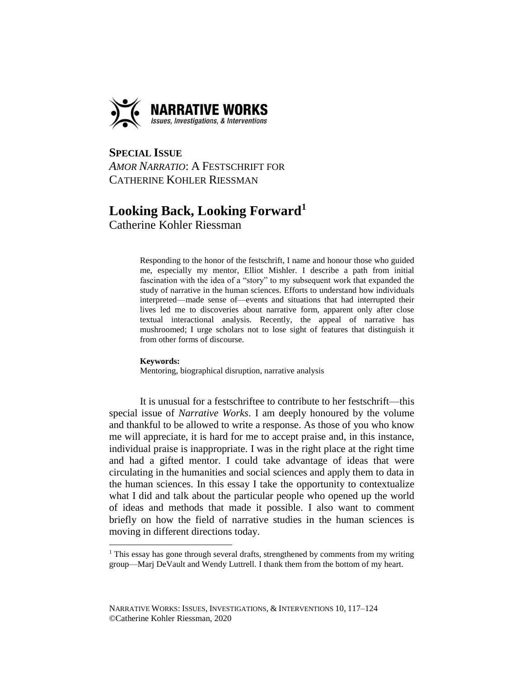

**SPECIAL ISSUE**  *AMOR NARRATIO*: A FESTSCHRIFT FOR CATHERINE KOHLER RIESSMAN

## **Looking Back, Looking Forward<sup>1</sup>**

Catherine Kohler Riessman

Responding to the honor of the festschrift, I name and honour those who guided me, especially my mentor, Elliot Mishler. I describe a path from initial fascination with the idea of a "story" to my subsequent work that expanded the study of narrative in the human sciences. Efforts to understand how individuals interpreted—made sense of—events and situations that had interrupted their lives led me to discoveries about narrative form, apparent only after close textual interactional analysis. Recently, the appeal of narrative has mushroomed; I urge scholars not to lose sight of features that distinguish it from other forms of discourse.

## **Keywords:**

 $\overline{a}$ 

Mentoring, biographical disruption, narrative analysis

It is unusual for a festschriftee to contribute to her festschrift—this special issue of *Narrative Works*. I am deeply honoured by the volume and thankful to be allowed to write a response. As those of you who know me will appreciate, it is hard for me to accept praise and, in this instance, individual praise is inappropriate. I was in the right place at the right time and had a gifted mentor. I could take advantage of ideas that were circulating in the humanities and social sciences and apply them to data in the human sciences. In this essay I take the opportunity to contextualize what I did and talk about the particular people who opened up the world of ideas and methods that made it possible. I also want to comment briefly on how the field of narrative studies in the human sciences is moving in different directions today.

<sup>&</sup>lt;sup>1</sup> This essay has gone through several drafts, strengthened by comments from my writing group—Marj DeVault and Wendy Luttrell. I thank them from the bottom of my heart.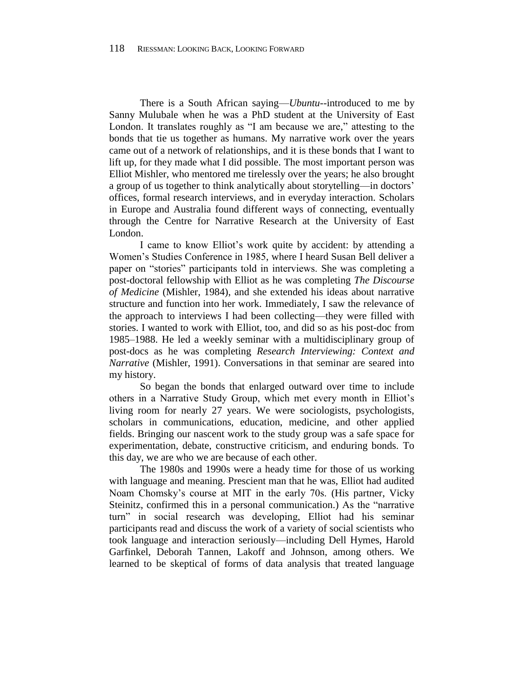There is a South African saying—*Ubuntu--*introduced to me by Sanny Mulubale when he was a PhD student at the University of East London. It translates roughly as "I am because we are," attesting to the bonds that tie us together as humans. My narrative work over the years came out of a network of relationships, and it is these bonds that I want to lift up, for they made what I did possible. The most important person was Elliot Mishler, who mentored me tirelessly over the years; he also brought a group of us together to think analytically about storytelling—in doctors' offices, formal research interviews, and in everyday interaction. Scholars in Europe and Australia found different ways of connecting, eventually through the Centre for Narrative Research at the University of East London.

I came to know Elliot's work quite by accident: by attending a Women's Studies Conference in 1985, where I heard Susan Bell deliver a paper on "stories" participants told in interviews. She was completing a post-doctoral fellowship with Elliot as he was completing *The Discourse of Medicine* (Mishler, 1984), and she extended his ideas about narrative structure and function into her work. Immediately, I saw the relevance of the approach to interviews I had been collecting—they were filled with stories. I wanted to work with Elliot, too, and did so as his post-doc from 1985–1988. He led a weekly seminar with a multidisciplinary group of post-docs as he was completing *Research Interviewing: Context and Narrative* (Mishler, 1991). Conversations in that seminar are seared into my history.

So began the bonds that enlarged outward over time to include others in a Narrative Study Group, which met every month in Elliot's living room for nearly 27 years. We were sociologists, psychologists, scholars in communications, education, medicine, and other applied fields. Bringing our nascent work to the study group was a safe space for experimentation, debate, constructive criticism, and enduring bonds. To this day, we are who we are because of each other.

The 1980s and 1990s were a heady time for those of us working with language and meaning. Prescient man that he was, Elliot had audited Noam Chomsky's course at MIT in the early 70s. (His partner, Vicky Steinitz, confirmed this in a personal communication.) As the "narrative turn" in social research was developing, Elliot had his seminar participants read and discuss the work of a variety of social scientists who took language and interaction seriously—including Dell Hymes, Harold Garfinkel, Deborah Tannen, Lakoff and Johnson, among others. We learned to be skeptical of forms of data analysis that treated language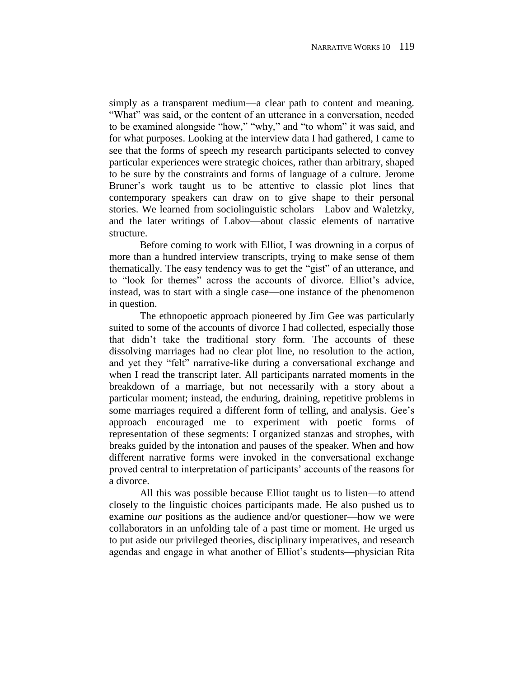simply as a transparent medium—a clear path to content and meaning. "What" was said, or the content of an utterance in a conversation, needed to be examined alongside "how," "why," and "to whom" it was said, and for what purposes. Looking at the interview data I had gathered, I came to see that the forms of speech my research participants selected to convey particular experiences were strategic choices, rather than arbitrary, shaped to be sure by the constraints and forms of language of a culture. Jerome Bruner's work taught us to be attentive to classic plot lines that contemporary speakers can draw on to give shape to their personal stories. We learned from sociolinguistic scholars—Labov and Waletzky, and the later writings of Labov—about classic elements of narrative structure.

Before coming to work with Elliot, I was drowning in a corpus of more than a hundred interview transcripts, trying to make sense of them thematically. The easy tendency was to get the "gist" of an utterance, and to "look for themes" across the accounts of divorce. Elliot's advice, instead, was to start with a single case—one instance of the phenomenon in question.

The ethnopoetic approach pioneered by Jim Gee was particularly suited to some of the accounts of divorce I had collected, especially those that didn't take the traditional story form. The accounts of these dissolving marriages had no clear plot line, no resolution to the action, and yet they "felt" narrative-like during a conversational exchange and when I read the transcript later. All participants narrated moments in the breakdown of a marriage, but not necessarily with a story about a particular moment; instead, the enduring, draining, repetitive problems in some marriages required a different form of telling, and analysis. Gee's approach encouraged me to experiment with poetic forms of representation of these segments: I organized stanzas and strophes, with breaks guided by the intonation and pauses of the speaker. When and how different narrative forms were invoked in the conversational exchange proved central to interpretation of participants' accounts of the reasons for a divorce.

All this was possible because Elliot taught us to listen—to attend closely to the linguistic choices participants made. He also pushed us to examine *our* positions as the audience and/or questioner—how we were collaborators in an unfolding tale of a past time or moment. He urged us to put aside our privileged theories, disciplinary imperatives, and research agendas and engage in what another of Elliot's students—physician Rita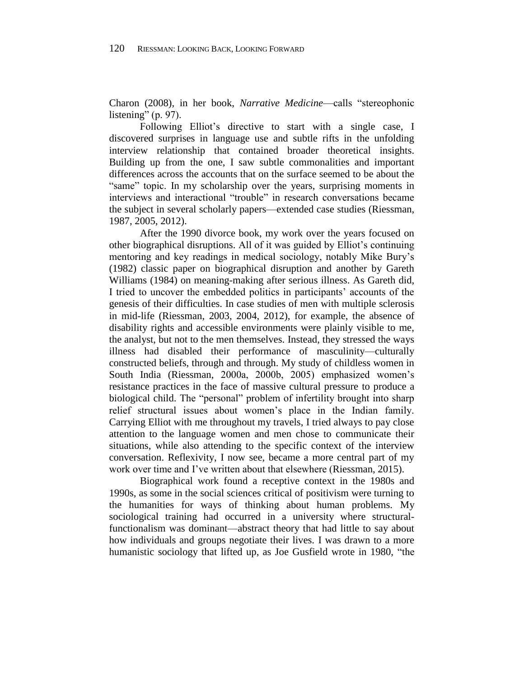Charon (2008), in her book, *Narrative Medicine*—calls "stereophonic listening" (p. 97).

Following Elliot's directive to start with a single case, I discovered surprises in language use and subtle rifts in the unfolding interview relationship that contained broader theoretical insights. Building up from the one, I saw subtle commonalities and important differences across the accounts that on the surface seemed to be about the "same" topic. In my scholarship over the years, surprising moments in interviews and interactional "trouble" in research conversations became the subject in several scholarly papers—extended case studies (Riessman, 1987, 2005, 2012).

After the 1990 divorce book, my work over the years focused on other biographical disruptions. All of it was guided by Elliot's continuing mentoring and key readings in medical sociology, notably Mike Bury's (1982) classic paper on biographical disruption and another by Gareth Williams (1984) on meaning-making after serious illness. As Gareth did, I tried to uncover the embedded politics in participants' accounts of the genesis of their difficulties. In case studies of men with multiple sclerosis in mid-life (Riessman, 2003, 2004, 2012), for example, the absence of disability rights and accessible environments were plainly visible to me, the analyst, but not to the men themselves. Instead, they stressed the ways illness had disabled their performance of masculinity—culturally constructed beliefs, through and through. My study of childless women in South India (Riessman, 2000a, 2000b, 2005) emphasized women's resistance practices in the face of massive cultural pressure to produce a biological child. The "personal" problem of infertility brought into sharp relief structural issues about women's place in the Indian family. Carrying Elliot with me throughout my travels, I tried always to pay close attention to the language women and men chose to communicate their situations, while also attending to the specific context of the interview conversation. Reflexivity, I now see, became a more central part of my work over time and I've written about that elsewhere (Riessman, 2015).

Biographical work found a receptive context in the 1980s and 1990s, as some in the social sciences critical of positivism were turning to the humanities for ways of thinking about human problems. My sociological training had occurred in a university where structuralfunctionalism was dominant—abstract theory that had little to say about how individuals and groups negotiate their lives. I was drawn to a more humanistic sociology that lifted up, as Joe Gusfield wrote in 1980, "the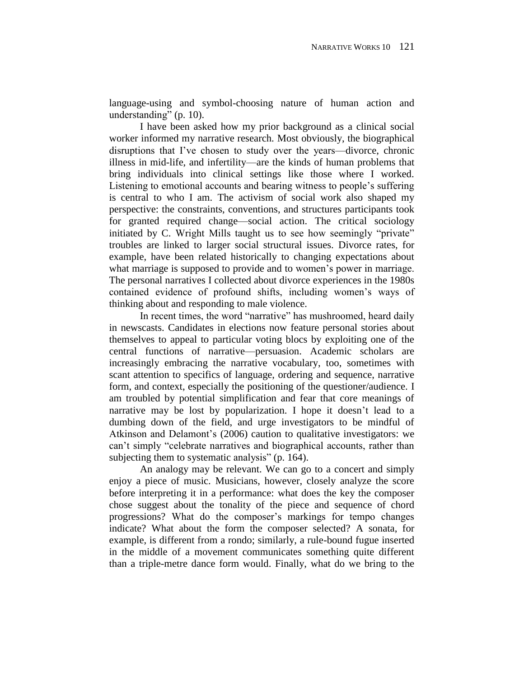language-using and symbol-choosing nature of human action and understanding" (p. 10).

I have been asked how my prior background as a clinical social worker informed my narrative research. Most obviously, the biographical disruptions that I've chosen to study over the years—divorce, chronic illness in mid-life, and infertility—are the kinds of human problems that bring individuals into clinical settings like those where I worked. Listening to emotional accounts and bearing witness to people's suffering is central to who I am. The activism of social work also shaped my perspective: the constraints, conventions, and structures participants took for granted required change—social action. The critical sociology initiated by C. Wright Mills taught us to see how seemingly "private" troubles are linked to larger social structural issues. Divorce rates, for example, have been related historically to changing expectations about what marriage is supposed to provide and to women's power in marriage. The personal narratives I collected about divorce experiences in the 1980s contained evidence of profound shifts, including women's ways of thinking about and responding to male violence.

In recent times, the word "narrative" has mushroomed, heard daily in newscasts. Candidates in elections now feature personal stories about themselves to appeal to particular voting blocs by exploiting one of the central functions of narrative—persuasion. Academic scholars are increasingly embracing the narrative vocabulary, too, sometimes with scant attention to specifics of language, ordering and sequence, narrative form, and context, especially the positioning of the questioner/audience. I am troubled by potential simplification and fear that core meanings of narrative may be lost by popularization. I hope it doesn't lead to a dumbing down of the field, and urge investigators to be mindful of Atkinson and Delamont's (2006) caution to qualitative investigators: we can't simply "celebrate narratives and biographical accounts, rather than subjecting them to systematic analysis" (p. 164).

An analogy may be relevant. We can go to a concert and simply enjoy a piece of music. Musicians, however, closely analyze the score before interpreting it in a performance: what does the key the composer chose suggest about the tonality of the piece and sequence of chord progressions? What do the composer's markings for tempo changes indicate? What about the form the composer selected? A sonata, for example, is different from a rondo; similarly, a rule-bound fugue inserted in the middle of a movement communicates something quite different than a triple-metre dance form would. Finally, what do we bring to the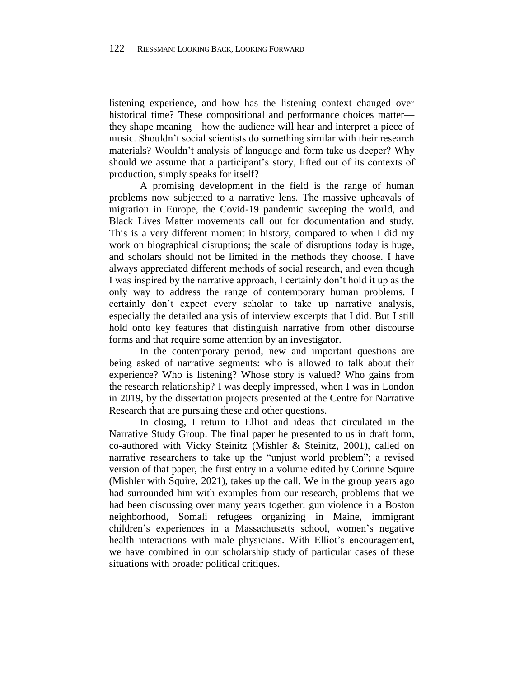listening experience, and how has the listening context changed over historical time? These compositional and performance choices matter they shape meaning—how the audience will hear and interpret a piece of music. Shouldn't social scientists do something similar with their research materials? Wouldn't analysis of language and form take us deeper? Why should we assume that a participant's story, lifted out of its contexts of production, simply speaks for itself?

A promising development in the field is the range of human problems now subjected to a narrative lens. The massive upheavals of migration in Europe, the Covid-19 pandemic sweeping the world, and Black Lives Matter movements call out for documentation and study. This is a very different moment in history, compared to when I did my work on biographical disruptions; the scale of disruptions today is huge, and scholars should not be limited in the methods they choose. I have always appreciated different methods of social research, and even though I was inspired by the narrative approach, I certainly don't hold it up as the only way to address the range of contemporary human problems. I certainly don't expect every scholar to take up narrative analysis, especially the detailed analysis of interview excerpts that I did. But I still hold onto key features that distinguish narrative from other discourse forms and that require some attention by an investigator.

In the contemporary period, new and important questions are being asked of narrative segments: who is allowed to talk about their experience? Who is listening? Whose story is valued? Who gains from the research relationship? I was deeply impressed, when I was in London in 2019, by the dissertation projects presented at the Centre for Narrative Research that are pursuing these and other questions.

In closing, I return to Elliot and ideas that circulated in the Narrative Study Group. The final paper he presented to us in draft form, co-authored with Vicky Steinitz (Mishler & Steinitz, 2001), called on narrative researchers to take up the "unjust world problem"; a revised version of that paper, the first entry in a volume edited by Corinne Squire (Mishler with Squire, 2021), takes up the call. We in the group years ago had surrounded him with examples from our research, problems that we had been discussing over many years together: gun violence in a Boston neighborhood, Somali refugees organizing in Maine, immigrant children's experiences in a Massachusetts school, women's negative health interactions with male physicians. With Elliot's encouragement, we have combined in our scholarship study of particular cases of these situations with broader political critiques.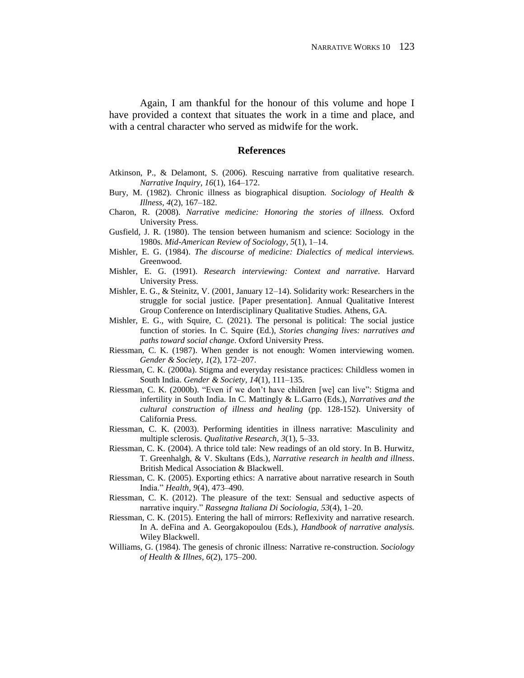Again, I am thankful for the honour of this volume and hope I have provided a context that situates the work in a time and place, and with a central character who served as midwife for the work.

## **References**

- Atkinson, P., & Delamont, S. (2006). Rescuing narrative from qualitative research. *Narrative Inquiry, 16*(1), 164–172.
- Bury, M. (1982). Chronic illness as biographical disuption. *Sociology of Health & Illness, 4*(2), 167–182.
- Charon, R. (2008). *Narrative medicine: Honoring the stories of illness.* Oxford University Press.
- Gusfield, J. R. (1980). The tension between humanism and science: Sociology in the 1980s. *Mid-American Review of Sociology, 5*(1), 1–14.
- Mishler, E. G. (1984). *The discourse of medicine: Dialectics of medical interviews.* Greenwood.
- Mishler, E. G. (1991). *Research interviewing: Context and narrative*. Harvard University Press.
- Mishler, E. G., & Steinitz, V. (2001, January 12–14). Solidarity work: Researchers in the struggle for social justice. [Paper presentation]. Annual Qualitative Interest Group Conference on Interdisciplinary Qualitative Studies. Athens, GA.
- Mishler, E. G., with Squire, C. (2021). The personal is political: The social justice function of stories. In C. Squire (Ed.), *Stories changing lives: narratives and paths toward social change*. Oxford University Press.
- Riessman, C. K. (1987). When gender is not enough: Women interviewing women. *Gender & Society, 1*(2), 172–207.
- Riessman, C. K. (2000a). Stigma and everyday resistance practices: Childless women in South India. *Gender & Society, 14*(1), 111–135.
- Riessman, C. K. (2000b). "Even if we don't have children [we] can live": Stigma and infertility in South India. In C. Mattingly & L.Garro (Eds.), *Narratives and the cultural construction of illness and healing* (pp. 128-152). University of California Press.
- Riessman, C. K. (2003). Performing identities in illness narrative: Masculinity and multiple sclerosis. *Qualitative Research, 3*(1), 5–33.
- Riessman, C. K. (2004). A thrice told tale: New readings of an old story. In B. Hurwitz, T. Greenhalgh, & V. Skultans (Eds.), *Narrative research in health and illness*. British Medical Association & Blackwell.
- Riessman, C. K. (2005). Exporting ethics: A narrative about narrative research in South India." *Health, 9*(4), 473–490.
- Riessman, C. K. (2012). The pleasure of the text: Sensual and seductive aspects of narrative inquiry." *Rassegna Italiana Di Sociologia, 53*(4), 1–20.
- Riessman, C. K. (2015). Entering the hall of mirrors: Reflexivity and narrative research. In A. deFina and A. Georgakopoulou (Eds.), *Handbook of narrative analysis.* Wiley Blackwell.
- Williams, G. (1984). The genesis of chronic illness: Narrative re-construction. *Sociology of Health & Illnes, 6*(2), 175–200.